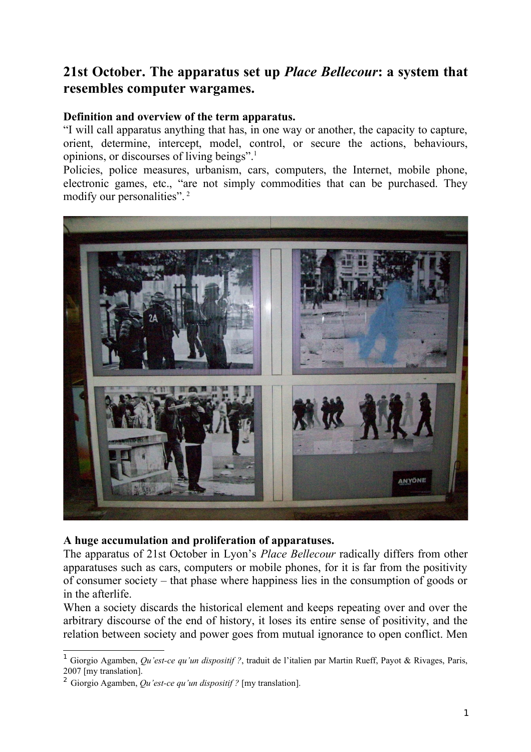## **21st October. The apparatus set up** *Place Bellecour***: a system that resembles computer wargames.**

## **Definition and overview of the term apparatus.**

"I will call apparatus anything that has, in one way or another, the capacity to capture, orient, determine, intercept, model, control, or secure the actions, behaviours, opinions, or discourses of living beings".[1](#page-0-0)

Policies, police measures, urbanism, cars, computers, the Internet, mobile phone, electronic games, etc., "are not simply commodities that can be purchased. They modify our personalities". [2](#page-0-1)



## **A huge accumulation and proliferation of apparatuses.**

The apparatus of 21st October in Lyon's *Place Bellecour* radically differs from other apparatuses such as cars, computers or mobile phones, for it is far from the positivity of consumer society – that phase where happiness lies in the consumption of goods or in the afterlife.

When a society discards the historical element and keeps repeating over and over the arbitrary discourse of the end of history, it loses its entire sense of positivity, and the relation between society and power goes from mutual ignorance to open conflict. Men

<span id="page-0-0"></span><sup>1</sup> Giorgio Agamben, *Qu'est-ce qu'un dispositif ?*, traduit de l'italien par Martin Rueff, Payot & Rivages, Paris, 2007 [my translation].

<span id="page-0-1"></span><sup>2</sup> Giorgio Agamben, *Qu'est-ce qu'un dispositif ?* [my translation].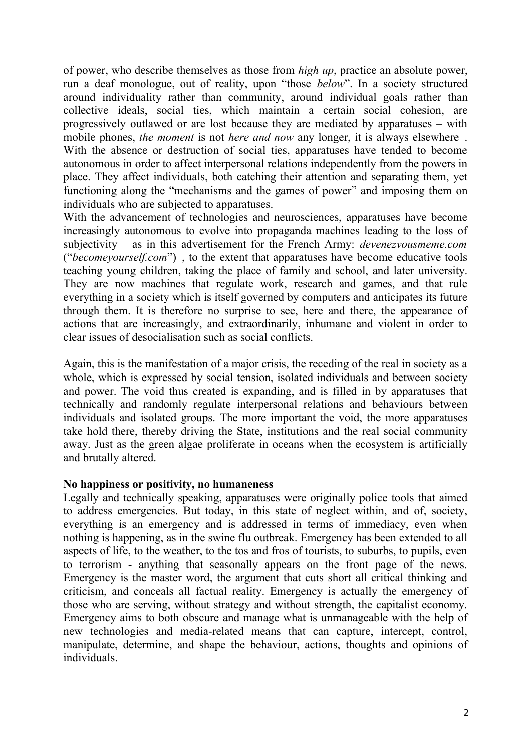of power, who describe themselves as those from *high up*, practice an absolute power, run a deaf monologue, out of reality, upon "those *below*". In a society structured around individuality rather than community, around individual goals rather than collective ideals, social ties, which maintain a certain social cohesion, are progressively outlawed or are lost because they are mediated by apparatuses – with mobile phones, *the moment* is not *here and now* any longer, it is always elsewhere–. With the absence or destruction of social ties, apparatuses have tended to become autonomous in order to affect interpersonal relations independently from the powers in place. They affect individuals, both catching their attention and separating them, yet functioning along the "mechanisms and the games of power" and imposing them on individuals who are subjected to apparatuses.

With the advancement of technologies and neurosciences, apparatuses have become increasingly autonomous to evolve into propaganda machines leading to the loss of subjectivity – as in this advertisement for the French Army: *devenezvousmeme.com* ("*becomeyourself.com*")–, to the extent that apparatuses have become educative tools teaching young children, taking the place of family and school, and later university. They are now machines that regulate work, research and games, and that rule everything in a society which is itself governed by computers and anticipates its future through them. It is therefore no surprise to see, here and there, the appearance of actions that are increasingly, and extraordinarily, inhumane and violent in order to clear issues of desocialisation such as social conflicts.

Again, this is the manifestation of a major crisis, the receding of the real in society as a whole, which is expressed by social tension, isolated individuals and between society and power. The void thus created is expanding, and is filled in by apparatuses that technically and randomly regulate interpersonal relations and behaviours between individuals and isolated groups. The more important the void, the more apparatuses take hold there, thereby driving the State, institutions and the real social community away. Just as the green algae proliferate in oceans when the ecosystem is artificially and brutally altered.

## **No happiness or positivity, no humaneness**

Legally and technically speaking, apparatuses were originally police tools that aimed to address emergencies. But today, in this state of neglect within, and of, society, everything is an emergency and is addressed in terms of immediacy, even when nothing is happening, as in the swine flu outbreak. Emergency has been extended to all aspects of life, to the weather, to the tos and fros of tourists, to suburbs, to pupils, even to terrorism - anything that seasonally appears on the front page of the news. Emergency is the master word, the argument that cuts short all critical thinking and criticism, and conceals all factual reality. Emergency is actually the emergency of those who are serving, without strategy and without strength, the capitalist economy. Emergency aims to both obscure and manage what is unmanageable with the help of new technologies and media-related means that can capture, intercept, control, manipulate, determine, and shape the behaviour, actions, thoughts and opinions of individuals.